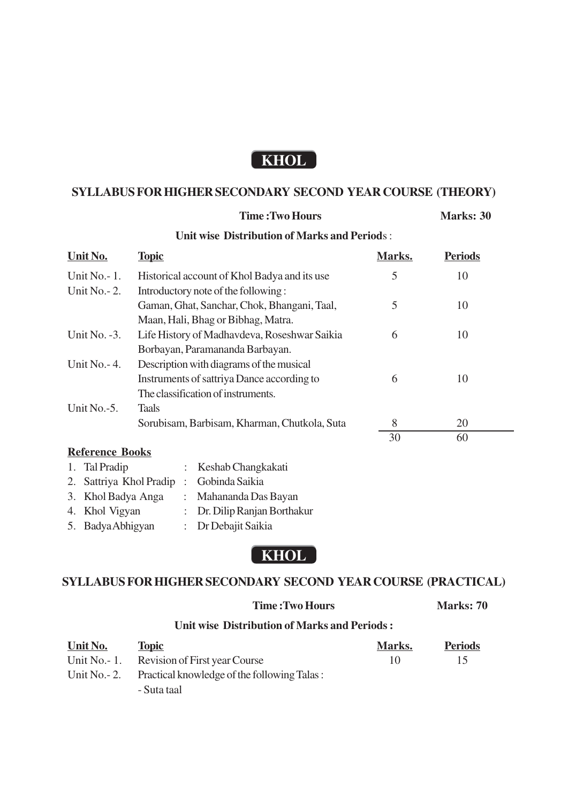## **KHOL**

## **SYLLABUS FOR HIGHER SECONDARY SECOND YEAR COURSE (THEORY)**

**Time : Two Hours Marks: 30** 

| <b>Unit wise Distribution of Marks and Periods:</b> |                        |                                              |                            |                                              |        |                |  |  |  |  |
|-----------------------------------------------------|------------------------|----------------------------------------------|----------------------------|----------------------------------------------|--------|----------------|--|--|--|--|
|                                                     | Unit No.               | <b>Topic</b>                                 |                            |                                              | Marks. | <b>Periods</b> |  |  |  |  |
| Unit No. $-1$ .                                     |                        | Historical account of Khol Badya and its use |                            |                                              | 5      | 10             |  |  |  |  |
| Unit No. $-2$ .                                     |                        |                                              |                            | Introductory note of the following:          |        |                |  |  |  |  |
|                                                     |                        |                                              |                            | Gaman, Ghat, Sanchar, Chok, Bhangani, Taal,  | 5      | 10             |  |  |  |  |
|                                                     |                        |                                              |                            | Maan, Hali, Bhag or Bibhag, Matra.           |        |                |  |  |  |  |
| Unit No. $-3$ .                                     |                        |                                              |                            | Life History of Madhavdeva, Roseshwar Saikia | 6      | 10             |  |  |  |  |
|                                                     |                        |                                              |                            | Borbayan, Paramananda Barbayan.              |        |                |  |  |  |  |
| Unit No. $-4$ .                                     |                        | Description with diagrams of the musical     |                            |                                              |        |                |  |  |  |  |
|                                                     |                        |                                              |                            | Instruments of sattriya Dance according to   | 6      | 10             |  |  |  |  |
|                                                     |                        |                                              |                            | The classification of instruments.           |        |                |  |  |  |  |
| Unit No.-5.                                         |                        | <b>Taals</b>                                 |                            |                                              |        |                |  |  |  |  |
|                                                     |                        | Sorubisam, Barbisam, Kharman, Chutkola, Suta |                            |                                              | 8      | 20             |  |  |  |  |
|                                                     |                        |                                              |                            |                                              | 30     | 60             |  |  |  |  |
|                                                     | <b>Reference Books</b> |                                              |                            |                                              |        |                |  |  |  |  |
| 1.                                                  | Tal Pradip             |                                              |                            | Keshab Changkakati                           |        |                |  |  |  |  |
| 2.                                                  | Sattriya Khol Pradip   |                                              | $\ddot{\cdot}$             | Gobinda Saikia                               |        |                |  |  |  |  |
| 3.                                                  | Khol Badya Anga        |                                              | $\ddot{\phantom{a}}$       | Mahananda Das Bayan                          |        |                |  |  |  |  |
| 4. Khol Vigyan                                      |                        | $\ddot{\cdot}$                               | Dr. Dilip Ranjan Borthakur |                                              |        |                |  |  |  |  |
| 5. Badya Abhigyan                                   |                        | ÷                                            | Dr Debajit Saikia          |                                              |        |                |  |  |  |  |

**KHOL**

## **SYLLABUS FOR HIGHER SECONDARY SECOND YEAR COURSE (PRACTICAL)**

|                                              |                                             | Marks: 70 |                |  |  |  |  |  |  |
|----------------------------------------------|---------------------------------------------|-----------|----------------|--|--|--|--|--|--|
| Unit wise Distribution of Marks and Periods: |                                             |           |                |  |  |  |  |  |  |
| Unit No.                                     | <b>Topic</b>                                | Marks.    | <b>Periods</b> |  |  |  |  |  |  |
|                                              | Unit No. - 1. Revision of First year Course | 10        | 15             |  |  |  |  |  |  |
| Unit No. $-2$ .                              | Practical knowledge of the following Talas: |           |                |  |  |  |  |  |  |
|                                              | - Suta taal                                 |           |                |  |  |  |  |  |  |